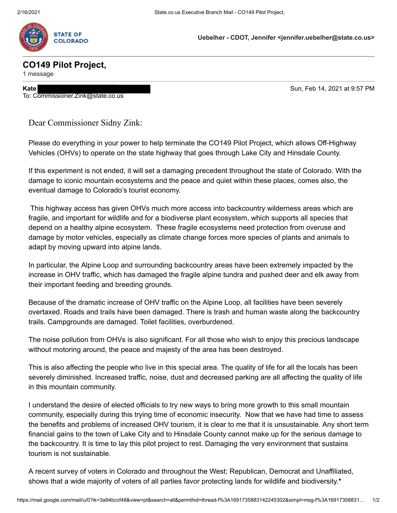

**Uebelher - CDOT, Jennifer <jennifer.uebelher@state.co.us>**

## **CO149 Pilot Project,**

1 message

To: Commissioner.Zink@state.co.us

**Kate** Sun, Feb 14, 2021 at 9:57 PM

Dear Commissioner Sidny Zink:

Please do everything in your power to help terminate the CO149 Pilot Project, which allows Off-Highway Vehicles (OHVs) to operate on the state highway that goes through Lake City and Hinsdale County.

If this experiment is not ended, it will set a damaging precedent throughout the state of Colorado. With the damage to iconic mountain ecosystems and the peace and quiet within these places, comes also, the eventual damage to Colorado's tourist economy.

 This highway access has given OHVs much more access into backcountry wilderness areas which are fragile, and important for wildlife and for a biodiverse plant ecosystem, which supports all species that depend on a healthy alpine ecosystem. These fragile ecosystems need protection from overuse and damage by motor vehicles, especially as climate change forces more species of plants and animals to adapt by moving upward into alpine lands.

In particular, the Alpine Loop and surrounding backcountry areas have been extremely impacted by the increase in OHV traffic, which has damaged the fragile alpine tundra and pushed deer and elk away from their important feeding and breeding grounds.

Because of the dramatic increase of OHV traffic on the Alpine Loop, all facilities have been severely overtaxed. Roads and trails have been damaged. There is trash and human waste along the backcountry trails. Campgrounds are damaged. Toilet facilities, overburdened.

The noise pollution from OHVs is also significant. For all those who wish to enjoy this precious landscape without motoring around, the peace and majesty of the area has been destroyed.

This is also affecting the people who live in this special area. The quality of life for all the locals has been severely diminished. Increased traffic, noise, dust and decreased parking are all affecting the quality of life in this mountain community.

I understand the desire of elected officials to try new ways to bring more growth to this small mountain community, especially during this trying time of economic insecurity. Now that we have had time to assess the benefits and problems of increased OHV tourism, it is clear to me that it is unsustainable. Any short term financial gains to the town of Lake City and to Hinsdale County cannot make up for the serious damage to the backcountry. It is time to lay this pilot project to rest. Damaging the very environment that sustains tourism is not sustainable.

A recent survey of voters in Colorado and throughout the West; Republican, Democrat and Unaffiliated, shows that a wide majority of voters of all parties favor protecting lands for wildlife and biodiversity.**\***